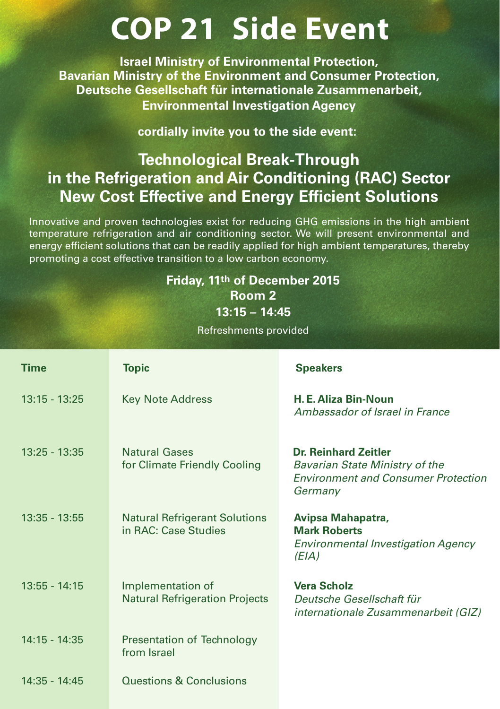## **COP 21 Side Event**

**Israel Ministry of Environmental Protection, Bavarian Ministry of the Environment and Consumer Protection, Deutsche Gesellschaft für internationale Zusammenarbeit, Environmental Investigation Agency**

**cordially invite you to the side event:**

## **Technological Break-Through in the Refrigeration and Air Conditioning (RAC) Sector New Cost Effective and Energy Efficient Solutions**

Innovative and proven technologies exist for reducing GHG emissions in the high ambient temperature refrigeration and air conditioning sector. We will present environmental and energy efficient solutions that can be readily applied for high ambient temperatures, thereby promoting a cost effective transition to a low carbon economy.

## **Friday, 11th of December 2015 Room 2 13:15 – 14:45**

Refreshments provided

| <b>Time</b>     | <b>Topic</b>                                                 | <b>Speakers</b>                                                                                                               |
|-----------------|--------------------------------------------------------------|-------------------------------------------------------------------------------------------------------------------------------|
| $13:15 - 13:25$ | <b>Key Note Address</b>                                      | H. E. Aliza Bin-Noun<br>Ambassador of Israel in France                                                                        |
| $13:25 - 13:35$ | <b>Natural Gases</b><br>for Climate Friendly Cooling         | <b>Dr. Reinhard Zeitler</b><br><b>Bavarian State Ministry of the</b><br><b>Environment and Consumer Protection</b><br>Germany |
| $13:35 - 13:55$ | <b>Natural Refrigerant Solutions</b><br>in RAC: Case Studies | Avipsa Mahapatra,<br><b>Mark Roberts</b><br><b>Environmental Investigation Agency</b><br>(EIA)                                |
| $13:55 - 14:15$ | Implementation of<br><b>Natural Refrigeration Projects</b>   | <b>Vera Scholz</b><br>Deutsche Gesellschaft für<br>internationale Zusammenarbeit (GIZ)                                        |
| $14:15 - 14:35$ | Presentation of Technology<br>from Israel                    |                                                                                                                               |
| 14:35 - 14:45   | Questions & Conclusions                                      |                                                                                                                               |